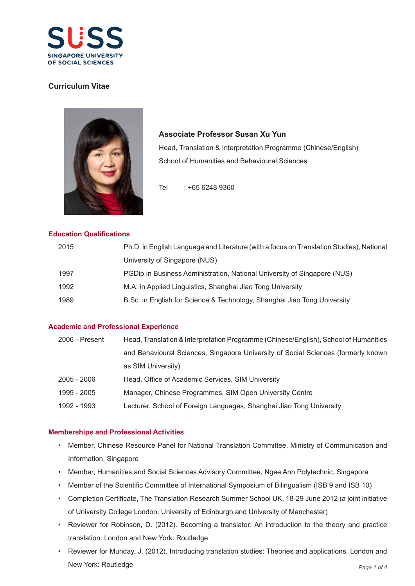

# **Curriculum Vitae**



**Associate Professor Susan Xu Yun**  Head, Translation & Interpretation Programme (Chinese/English) School of Humanities and Behavioural Sciences

Tel : +65 6248 9360

### **Education Qualifications**

| 2015 | Ph.D. in English Language and Literature (with a focus on Translation Studies), National |
|------|------------------------------------------------------------------------------------------|
|      | University of Singapore (NUS)                                                            |
| 1997 | PGDip in Business Administration, National University of Singapore (NUS)                 |
| 1992 | M.A. in Applied Linguistics, Shanghai Jiao Tong University                               |
| 1989 | B.Sc. in English for Science & Technology, Shanghai Jiao Tong University                 |

### **Academic and Professional Experience**

| 2006 - Present | Head, Translation & Interpretation Programme (Chinese/English), School of Humanities |
|----------------|--------------------------------------------------------------------------------------|
|                | and Behavioural Sciences, Singapore University of Social Sciences (formerly known    |
|                | as SIM University)                                                                   |
| 2005 - 2006    | Head, Office of Academic Services, SIM University                                    |
| 1999 - 2005    | Manager, Chinese Programmes, SIM Open University Centre                              |
| 1992 - 1993    | Lecturer, School of Foreign Languages, Shanghai Jiao Tong University                 |
|                |                                                                                      |

## **Memberships and Professional Activities**

- Member, Chinese Resource Panel for National Translation Committee, Ministry of Communication and Information, Singapore
- Member, Humanities and Social Sciences Advisory Committee, Ngee Ann Polytechnic, Singapore
- Member of the Scientific Committee of International Symposium of Bilingualism (ISB 9 and ISB 10)
- Completion Certificate, The Translation Research Summer School UK, 18-29 June 2012 (a joint initiative of University College London, University of Edinburgh and University of Manchester)
- Reviewer for Robinson, D. (2012). Becoming a translator: An introduction to the theory and practice translation. London and New York: Routledge
- Reviewer for Munday, J. (2012). Introducing translation studies: Theories and applications. London and New York: Routledge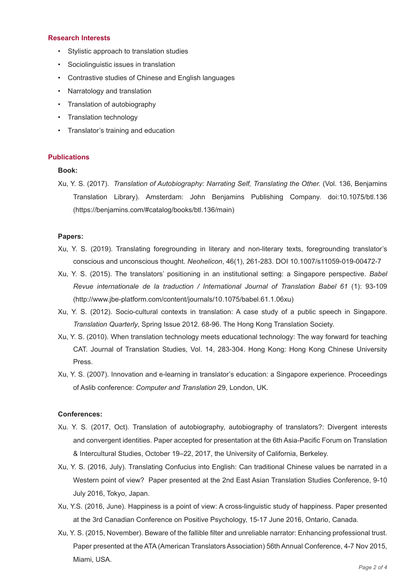#### **Research Interests**

- Stylistic approach to translation studies
- Sociolinguistic issues in translation
- Contrastive studies of Chinese and English languages
- Narratology and translation
- Translation of autobiography
- Translation technology
- Translator's training and education

### **Publications**

### **Book:**

Xu, Y. S. (2017). *Translation of Autobiography: Narrating Self, Translating the Other.* (Vol. 136, Benjamins Translation Library). Amsterdam: John Benjamins Publishing Company. doi:10.1075/btl.136 (https://benjamins.com/#catalog/books/btl.136/main)

### **Papers:**

- Xu, Y. S. (2019). Translating foregrounding in literary and non-literary texts, foregrounding translator's conscious and unconscious thought. *Neohelicon*, 46(1), 261-283. DOI 10.1007/s11059-019-00472-7
- Xu, Y. S. (2015). The translators' positioning in an institutional setting: a Singapore perspective. *Babel Revue internationale de la traduction / International Journal of Translation Babel 61* (1): 93-109 (http://www.jbe-platform.com/content/journals/10.1075/babel.61.1.06xu)
- Xu, Y. S. (2012). Socio-cultural contexts in translation: A case study of a public speech in Singapore. *Translation Quarterly*, Spring Issue 2012. 68-96. The Hong Kong Translation Society.
- Xu, Y. S. (2010). When translation technology meets educational technology: The way forward for teaching CAT. Journal of Translation Studies, Vol. 14, 283-304. Hong Kong: Hong Kong Chinese University Press.
- Xu, Y. S. (2007). Innovation and e-learning in translator's education: a Singapore experience. Proceedings of Aslib conference: *Computer and Translation* 29, London, UK.

#### **Conferences:**

- Xu. Y. S. (2017, Oct). Translation of autobiography, autobiography of translators?: Divergent interests and convergent identities. Paper accepted for presentation at the 6th Asia-Pacific Forum on Translation & Intercultural Studies, October 19–22, 2017, the University of California, Berkeley.
- Xu, Y. S. (2016, July). Translating Confucius into English: Can traditional Chinese values be narrated in a Western point of view? Paper presented at the 2nd East Asian Translation Studies Conference, 9-10 July 2016, Tokyo, Japan.
- Xu, Y.S. (2016, June). Happiness is a point of view: A cross-linguistic study of happiness. Paper presented at the 3rd Canadian Conference on Positive Psychology, 15-17 June 2016, Ontario, Canada.
- Xu, Y. S. (2015, November). Beware of the fallible filter and unreliable narrator: Enhancing professional trust. Paper presented at the ATA (American Translators Association) 56th Annual Conference, 4-7 Nov 2015, Miami, USA.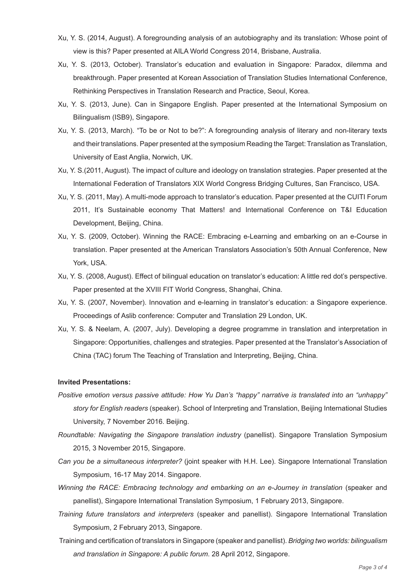- Xu, Y. S. (2014, August). A foregrounding analysis of an autobiography and its translation: Whose point of view is this? Paper presented at AILA World Congress 2014, Brisbane, Australia.
- Xu, Y. S. (2013, October). Translator's education and evaluation in Singapore: Paradox, dilemma and breakthrough. Paper presented at Korean Association of Translation Studies International Conference, Rethinking Perspectives in Translation Research and Practice, Seoul, Korea.
- Xu, Y. S. (2013, June). Can in Singapore English. Paper presented at the International Symposium on Bilingualism (ISB9), Singapore.
- Xu, Y. S. (2013, March). "To be or Not to be?": A foregrounding analysis of literary and non-literary texts and their translations. Paper presented at the symposium Reading the Target: Translation as Translation, University of East Anglia, Norwich, UK.
- Xu, Y. S.(2011, August). The impact of culture and ideology on translation strategies. Paper presented at the International Federation of Translators XIX World Congress Bridging Cultures, San Francisco, USA.
- Xu, Y. S. (2011, May). A multi-mode approach to translator's education. Paper presented at the CUITI Forum 2011, It's Sustainable economy That Matters! and International Conference on T&I Education Development, Beijing, China.
- Xu, Y. S. (2009, October). Winning the RACE: Embracing e-Learning and embarking on an e-Course in translation. Paper presented at the American Translators Association's 50th Annual Conference, New York, USA.
- Xu, Y. S. (2008, August). Effect of bilingual education on translator's education: A little red dot's perspective. Paper presented at the XVIII FIT World Congress, Shanghai, China.
- Xu, Y. S. (2007, November). Innovation and e-learning in translator's education: a Singapore experience. Proceedings of Aslib conference: Computer and Translation 29 London, UK.
- Xu, Y. S. & Neelam, A. (2007, July). Developing a degree programme in translation and interpretation in Singapore: Opportunities, challenges and strategies. Paper presented at the Translator's Association of China (TAC) forum The Teaching of Translation and Interpreting, Beijing, China.

#### **Invited Presentations:**

- *Positive emotion versus passive attitude: How Yu Dan's "happy" narrative is translated into an "unhappy" story for English readers* (speaker). School of Interpreting and Translation, Beijing International Studies University, 7 November 2016. Beijing.
- *Roundtable: Navigating the Singapore translation industry* (panellist). Singapore Translation Symposium 2015, 3 November 2015, Singapore.
- *Can you be a simultaneous interpreter?* (joint speaker with H.H. Lee). Singapore International Translation Symposium, 16-17 May 2014. Singapore.
- *Winning the RACE: Embracing technology and embarking on an e-Journey in translation (speaker and* panellist), Singapore International Translation Symposium, 1 February 2013, Singapore.
- *Training future translators and interpreters* (speaker and panellist). Singapore International Translation Symposium, 2 February 2013, Singapore.
- Training and certification of translators in Singapore (speaker and panellist). *Bridging two worlds: bilingualism and translation in Singapore: A public forum*. 28 April 2012, Singapore.